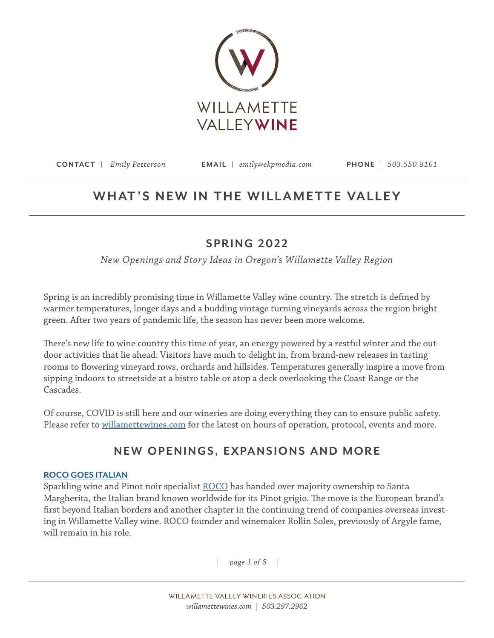

# WHAT'S NEW IN THE WILLAMETTE VALLEY

# **SPRING 2022**

*New Openings and Story Ideas in Oregon's Willamette Valley Region*

Spring is an incredibly promising time in Willamette Valley wine country. The stretch is defined by warmer temperatures, longer days and a budding vintage turning vineyards across the region bright green. After two years of pandemic life, the season has never been more welcome.

There's new life to wine country this time of year, an energy powered by a restful winter and the outdoor activities that lie ahead. Visitors have much to delight in, from brand-new releases in tasting rooms to flowering vineyard rows, orchards and hillsides. Temperatures generally inspire a move from sipping indoors to streetside at a bistro table or atop a deck overlooking the Coast Range or the Cascades.

Of course, COVID is still here and our wineries are doing everything they can to ensure public safety. Please refer to [willamettewines.com](http://www.willamettewines.com) for the latest on hours of operation, protocol, events and more.

# **NEW OPENINGS, EXPANSIONS AND MORE**

# **[ROCO GOES ITALIAN](https://rocowinery.com/)**

Sparkling wine and Pinot noir specialist [ROCO](https://rocowinery.com/) has handed over majority ownership to Santa Margherita, the Italian brand known worldwide for its Pinot grigio. The move is the European brand's first beyond Italian borders and another chapter in the continuing trend of companies overseas investing in Willamette Valley wine. ROCO founder and winemaker Rollin Soles, previously of Argyle fame, will remain in his role.

*| page 1 of 8 |*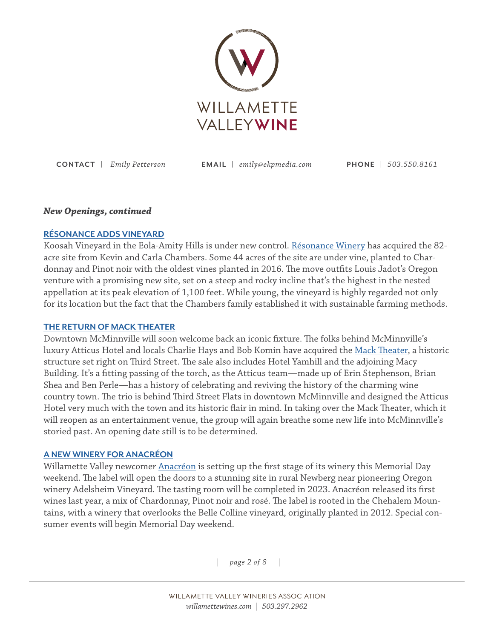

#### *New Openings, continued*

## **[RÉSONANCE ADDS VINEYARD](https://resonancewines.com/)**

Koosah Vineyard in the Eola-Amity Hills is under new control. [Résonance Winery](https://resonancewines.com/) has acquired the 82 acre site from Kevin and Carla Chambers. Some 44 acres of the site are under vine, planted to Chardonnay and Pinot noir with the oldest vines planted in 2016. The move outfits Louis Jadot's Oregon venture with a promising new site, set on a steep and rocky incline that's the highest in the nested appellation at its peak elevation of 1,100 feet. While young, the vineyard is highly regarded not only for its location but the fact that the Chambers family established it with sustainable farming methods.

### **[THE RETURN OF MACK THEATER](https://themacktheater.com/)**

Downtown McMinnville will soon welcome back an iconic fixture. The folks behind McMinnville's luxury Atticus Hotel and locals Charlie Hays and Bob Komin have acquired the [Mack Theater,](https://themacktheater.com/) a historic structure set right on Third Street. The sale also includes Hotel Yamhill and the adjoining Macy Building. It's a fitting passing of the torch, as the Atticus team—made up of Erin Stephenson, Brian Shea and Ben Perle—has a history of celebrating and reviving the history of the charming wine country town. The trio is behind Third Street Flats in downtown McMinnville and designed the Atticus Hotel very much with the town and its historic flair in mind. In taking over the Mack Theater, which it will reopen as an entertainment venue, the group will again breathe some new life into McMinnville's storied past. An opening date still is to be determined.

### **A NEW WINERY FOR ANACRÉON**

Willamette Valley newcomer [Anacréon](https://www.anacreonwinery.com/) is setting up the first stage of its winery this Memorial Day weekend. The label will open the doors to a stunning site in rural Newberg near pioneering Oregon winery Adelsheim Vineyard. The tasting room will be completed in 2023. Anacréon released its first wines last year, a mix of Chardonnay, Pinot noir and rosé. The label is rooted in the Chehalem Mountains, with a winery that overlooks the Belle Colline vineyard, originally planted in 2012. Special consumer events will begin Memorial Day weekend.

*| page 2 of 8 |*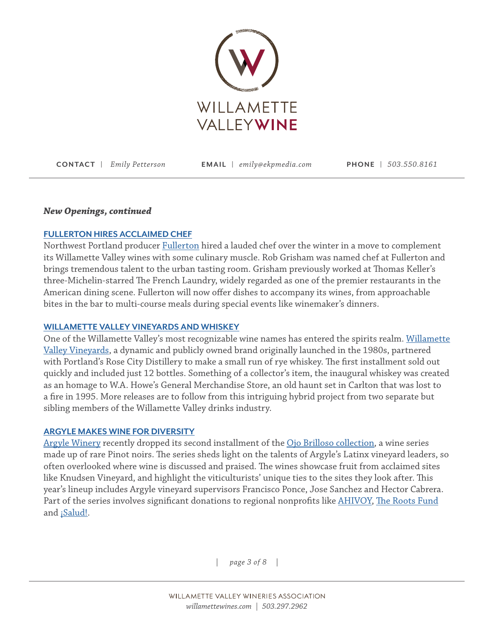

### *New Openings, continued*

## **[FULLERTON HIRES ACCLAIMED CHEF](https://fullertonwines.com/)**

Northwest Portland producer [Fullerton](https://fullertonwines.com/) hired a lauded chef over the winter in a move to complement its Willamette Valley wines with some culinary muscle. Rob Grisham was named chef at Fullerton and brings tremendous talent to the urban tasting room. Grisham previously worked at Thomas Keller's three-Michelin-starred The French Laundry, widely regarded as one of the premier restaurants in the American dining scene. Fullerton will now offer dishes to accompany its wines, from approachable bites in the bar to multi-course meals during special events like winemaker's dinners.

### **[WILLAMETTE VALLEY VINEYARDS AND WHISKEY](https://www.wvv.com/?gclid=CjwKCAiAgvKQBhBbEiwAaPQw3P9K4fuHiHMGq4LxOJCDrT5Nm1eJUZ7dEOX3HqyngNfU1PofcJmQjBoCRtsQAvD_BwE)**

One of the Willamette Valley's most recognizable wine names has entered the spirits realm. [Willamette](https://www.wvv.com/?gclid=CjwKCAiAgvKQBhBbEiwAaPQw3P9K4fuHiHMGq4LxOJCDrT5Nm1eJUZ7dEOX3HqyngNfU1PofcJmQjBoCRtsQAvD_BwE)  [Valley Vineyards](https://www.wvv.com/?gclid=CjwKCAiAgvKQBhBbEiwAaPQw3P9K4fuHiHMGq4LxOJCDrT5Nm1eJUZ7dEOX3HqyngNfU1PofcJmQjBoCRtsQAvD_BwE), a dynamic and publicly owned brand originally launched in the 1980s, partnered with Portland's Rose City Distillery to make a small run of rye whiskey. The first installment sold out quickly and included just 12 bottles. Something of a collector's item, the inaugural whiskey was created as an homage to W.A. Howe's General Merchandise Store, an old haunt set in Carlton that was lost to a fire in 1995. More releases are to follow from this intriguing hybrid project from two separate but sibling members of the Willamette Valley drinks industry.

### **[ARGYLE MAKES WINE FOR DIVERSITY](https://argylewinery.com/)**

[Argyle Winery](https://argylewinery.com/) recently dropped its second installment of the [Ojo Brilloso collection,](https://argylewinery.com/about/winemaking/ojobrilloso/) a wine series made up of rare Pinot noirs. The series sheds light on the talents of Argyle's Latinx vineyard leaders, so often overlooked where wine is discussed and praised. The wines showcase fruit from acclaimed sites like Knudsen Vineyard, and highlight the viticulturists' unique ties to the sites they look after. This year's lineup includes Argyle vineyard supervisors Francisco Ponce, Jose Sanchez and Hector Cabrera. Part of the series involves significant donations to regional nonprofits like [AHIVOY,](https://ahivoyoregon.org/) [The Roots Fund](https://www.therootsfund.org/) and **¡Salud!**.

*| page 3 of 8 |*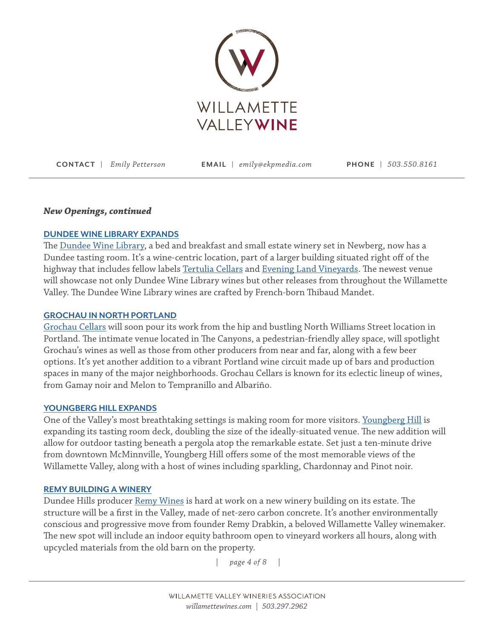

### *New Openings, continued*

## **[DUNDEE WINE LIBRARY EXPANDS](https://www.dundeewinelibrary.com/)**

The [Dundee Wine Library,](https://www.dundeewinelibrary.com/) a bed and breakfast and small estate winery set in Newberg, now has a Dundee tasting room. It's a wine-centric location, part of a larger building situated right off of the highway that includes fellow labels [Tertulia Cellars](https://www.tertuliacellars.com/) and [Evening Land Vineyards](https://elvwines.com/). The newest venue will showcase not only Dundee Wine Library wines but other releases from throughout the Willamette Valley. The Dundee Wine Library wines are crafted by French-born Thibaud Mandet.

#### **[GROCHAU IN NORTH PORTLAND](https://grochaucellars.com/)**

[Grochau Cellars](https://grochaucellars.com/) will soon pour its work from the hip and bustling North Williams Street location in Portland. The intimate venue located in The Canyons, a pedestrian-friendly alley space, will spotlight Grochau's wines as well as those from other producers from near and far, along with a few beer options. It's yet another addition to a vibrant Portland wine circuit made up of bars and production spaces in many of the major neighborhoods. Grochau Cellars is known for its eclectic lineup of wines, from Gamay noir and Melon to Tempranillo and Albariño.

#### **[YOUNGBERG HILL EXPANDS](https://youngberghill.com/)**

One of the Valley's most breathtaking settings is making room for more visitors. [Youngberg Hill](https://youngberghill.com/) is expanding its tasting room deck, doubling the size of the ideally-situated venue. The new addition will allow for outdoor tasting beneath a pergola atop the remarkable estate. Set just a ten-minute drive from downtown McMinnville, Youngberg Hill offers some of the most memorable views of the Willamette Valley, along with a host of wines including sparkling, Chardonnay and Pinot noir.

#### **[REMY BUILDING A WINERY](https://remywines.com/)**

Dundee Hills producer [Remy Wines](https://remywines.com/) is hard at work on a new winery building on its estate. The structure will be a first in the Valley, made of net-zero carbon concrete. It's another environmentally conscious and progressive move from founder Remy Drabkin, a beloved Willamette Valley winemaker. The new spot will include an indoor equity bathroom open to vineyard workers all hours, along with upcycled materials from the old barn on the property.

*| page 4 of 8 |*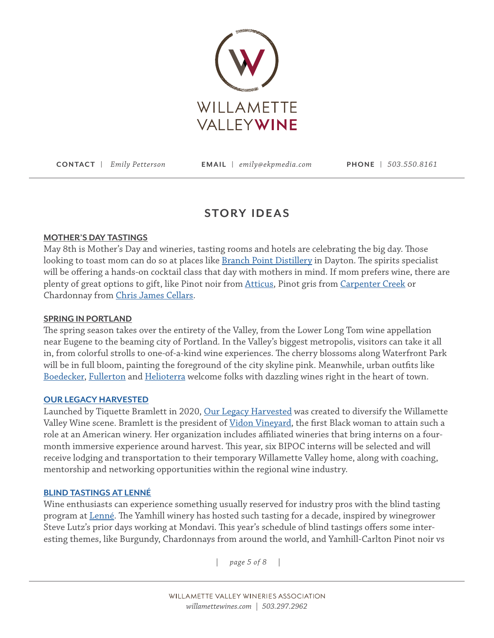

# **STORY IDEAS**

# **MOTHER'S DAY TASTINGS**

May 8th is Mother's Day and wineries, tasting rooms and hotels are celebrating the big day. Those looking to toast mom can do so at places like **[Branch Point Distillery](https://www.branchpointdistillery.com/)** in Dayton. The spirits specialist will be offering a hands-on cocktail class that day with mothers in mind. If mom prefers wine, there are plenty of great options to gift, like Pinot noir from [Atticus](https://atticuswine.com/), Pinot gris from [Carpenter Creek](https://www.carpentercreekfarm.org/) or Chardonnay from [Chris James Cellars.](https://www.chrisjamescellars.com/)

# **SPRING IN PORTLAND**

The spring season takes over the entirety of the Valley, from the Lower Long Tom wine appellation near Eugene to the beaming city of Portland. In the Valley's biggest metropolis, visitors can take it all in, from colorful strolls to one-of-a-kind wine experiences. The cherry blossoms along Waterfront Park will be in full bloom, painting the foreground of the city skyline pink. Meanwhile, urban outfits like [Boedecker](https://boedeckercellars.com/), [Fullerton](https://fullertonwines.com/) and [Helioterra](https://www.helioterrawines.com/) welcome folks with dazzling wines right in the heart of town.

# **[OUR LEGACY HARVESTED](https://www.ourlegacyharvested.com/)**

Launched by Tiquette Bramlett in 2020, [Our Legacy Harvested](https://www.ourlegacyharvested.com/) was created to diversify the Willamette Valley Wine scene. Bramlett is the president of [Vidon Vineyard](https://vidonvineyard.com/), the first Black woman to attain such a role at an American winery. Her organization includes affiliated wineries that bring interns on a fourmonth immersive experience around harvest. This year, six BIPOC interns will be selected and will receive lodging and transportation to their temporary Willamette Valley home, along with coaching, mentorship and networking opportunities within the regional wine industry.

# **[BLIND TASTINGS AT LENN](https://www.lenneestate.com/)É**

Wine enthusiasts can experience something usually reserved for industry pros with the blind tasting program at [Lenné](https://www.lenneestate.com/). The Yamhill winery has hosted such tasting for a decade, inspired by winegrower Steve Lutz's prior days working at Mondavi. This year's schedule of blind tastings offers some interesting themes, like Burgundy, Chardonnays from around the world, and Yamhill-Carlton Pinot noir vs

*| page 5 of 8 |*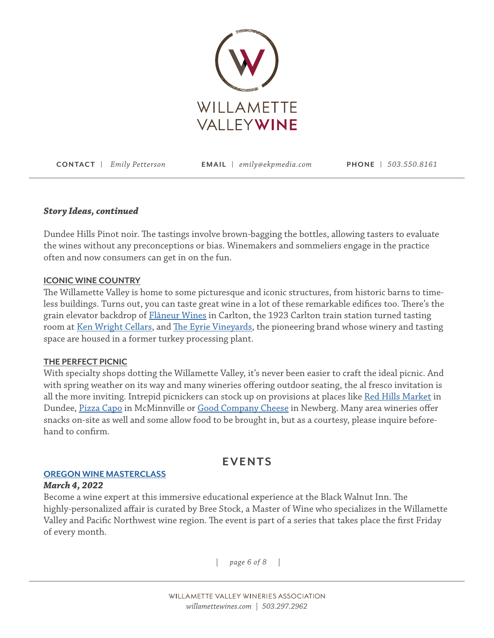

# *Story Ideas, continued*

Dundee Hills Pinot noir. The tastings involve brown-bagging the bottles, allowing tasters to evaluate the wines without any preconceptions or bias. Winemakers and sommeliers engage in the practice often and now consumers can get in on the fun.

## **ICONIC WINE COUNTRY**

The Willamette Valley is home to some picturesque and iconic structures, from historic barns to timeless buildings. Turns out, you can taste great wine in a lot of these remarkable edifices too. There's the grain elevator backdrop of [Flâneur Wines](https://www.flaneurwines.com/) in Carlton, the 1923 Carlton train station turned tasting room at [Ken Wright Cellars](https://kenwrightcellars.com/), and [The Eyrie Vineyards,](https://eyrievineyards.com/) the pioneering brand whose winery and tasting space are housed in a former turkey processing plant.

# **THE PERFECT PICNIC**

With specialty shops dotting the Willamette Valley, it's never been easier to craft the ideal picnic. And with spring weather on its way and many wineries offering outdoor seating, the al fresco invitation is all the more inviting. Intrepid picnickers can stock up on provisions at places like [Red Hills Market](https://www.redhillsmarket.com/) in Dundee, [Pizza Capo](https://www.redhillsmarket.com/) in McMinnville or [Good Company Cheese](https://goodcompanycheese.com/) in Newberg. Many area wineries offer snacks on-site as well and some allow food to be brought in, but as a courtesy, please inquire beforehand to confirm.

# **EVENTS**

# **[OREGON WINE MASTERCLASS](https://blackwalnutvineyard.com/experiences/mw-guided-tasting.html)**

# *March 4, 2022*

Become a wine expert at this immersive educational experience at the Black Walnut Inn. The highly-personalized affair is curated by Bree Stock, a Master of Wine who specializes in the Willamette Valley and Pacific Northwest wine region. The event is part of a series that takes place the first Friday of every month.

*| page 6 of 8 |*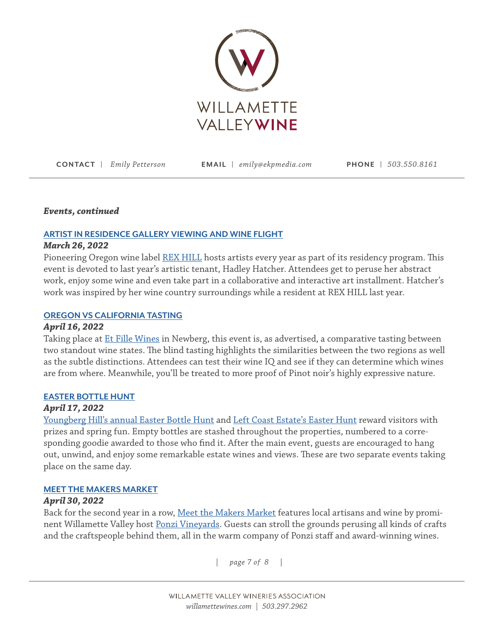

## *Events, continued*

# **[ARTIST IN RESIDENCE GALLERY VIEWING AND WINE FLIGHT](https://www.willamettewines.com/event/artist-in-residence-gallery-viewing-%26-wine-flight/24540/)**

# *March 26, 2022*

Pioneering Oregon wine label [REX HILL](https://rexhill.com/experiences/?gclid=CjwKCAiAgvKQBhBbEiwAaPQw3HRzbvVyWByO8cFG4VLJx0ZbKBpttx7ogH8txnzTm9uUw0_cIyqHoRoCrhEQAvD_BwE) hosts artists every year as part of its residency program. This event is devoted to last year's artistic tenant, Hadley Hatcher. Attendees get to peruse her abstract work, enjoy some wine and even take part in a collaborative and interactive art installment. Hatcher's work was inspired by her wine country surroundings while a resident at REX HILL last year.

# **[OREGON](https://www.willamettewines.com/event/oregon-vs-california-pinot-noir-tasting/24520/) VS CALIFORNIA TASTING**

# *April 16, 2022*

Taking place at [Et Fille Wines](https://www.etfillewines.com/) in Newberg, this event is, as advertised, a comparative tasting between two standout wine states. The blind tasting highlights the similarities between the two regions as well as the subtle distinctions. Attendees can test their wine IQ and see if they can determine which wines are from where. Meanwhile, you'll be treated to more proof of Pinot noir's highly expressive nature.

# **EASTER BOTTLE HUNT**

# *April 17, 2022*

[Youngberg Hill's annual Easter Bottle Hunt](https://www.willamettewines.com/event/annual-easter-bottle-hunt/24498/) and [Left Coast Estate's Easter Hunt](https://www.willamettewines.com/event/easter-egg-bottle-hunt!/24529/) reward visitors with prizes and spring fun. Empty bottles are stashed throughout the properties, numbered to a corresponding goodie awarded to those who find it. After the main event, guests are encouraged to hang out, unwind, and enjoy some remarkable estate wines and views. These are two separate events taking place on the same day.

# **MEET THE MAKERS MARKET**

# *April 30, 2022*

Back for the second year in a row, [Meet the Makers Market](https://www.willamettewines.com/event/meet-the-makers-market/24446/) features local artisans and wine by promi-nent Willamette Valley host [Ponzi Vineyards](https://www.ponzivineyards.com/). Guests can stroll the grounds perusing all kinds of crafts and the craftspeople behind them, all in the warm company of Ponzi staff and award-winning wines.

*| page 7 of 8 |*